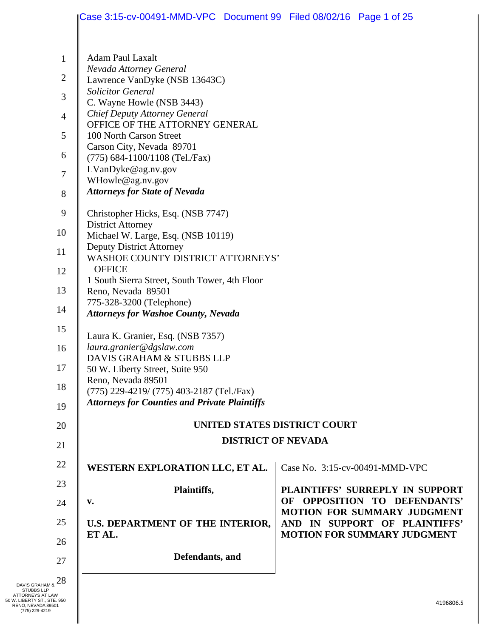|                | Case 3:15-cv-00491-MMD-VPC Document 99 Filed 08/02/16 Page 1 of 25                                |  |                                                                     |  |  |
|----------------|---------------------------------------------------------------------------------------------------|--|---------------------------------------------------------------------|--|--|
| $\mathbf{1}$   | <b>Adam Paul Laxalt</b>                                                                           |  |                                                                     |  |  |
| $\overline{2}$ | Nevada Attorney General                                                                           |  |                                                                     |  |  |
|                | Lawrence VanDyke (NSB 13643C)<br><b>Solicitor General</b>                                         |  |                                                                     |  |  |
| 3              | C. Wayne Howle (NSB 3443)                                                                         |  |                                                                     |  |  |
| $\overline{4}$ | <b>Chief Deputy Attorney General</b><br>OFFICE OF THE ATTORNEY GENERAL                            |  |                                                                     |  |  |
| 5              | 100 North Carson Street                                                                           |  |                                                                     |  |  |
| 6              | Carson City, Nevada 89701                                                                         |  |                                                                     |  |  |
|                | (775) 684-1100/1108 (Tel./Fax)<br>LVanDyke@ag.nv.gov                                              |  |                                                                     |  |  |
| 7              | WHowle@ag.nv.gov                                                                                  |  |                                                                     |  |  |
| 8              | <b>Attorneys for State of Nevada</b>                                                              |  |                                                                     |  |  |
| 9              | Christopher Hicks, Esq. (NSB 7747)                                                                |  |                                                                     |  |  |
| 10             | <b>District Attorney</b><br>Michael W. Large, Esq. (NSB 10119)                                    |  |                                                                     |  |  |
|                | <b>Deputy District Attorney</b>                                                                   |  |                                                                     |  |  |
| 11             | <b>WASHOE COUNTY DISTRICT ATTORNEYS'</b>                                                          |  |                                                                     |  |  |
| 12             | <b>OFFICE</b><br>1 South Sierra Street, South Tower, 4th Floor                                    |  |                                                                     |  |  |
| 13             | Reno, Nevada 89501                                                                                |  |                                                                     |  |  |
| 14             | 775-328-3200 (Telephone)                                                                          |  |                                                                     |  |  |
| 15             | <b>Attorneys for Washoe County, Nevada</b>                                                        |  |                                                                     |  |  |
|                | Laura K. Granier, Esq. (NSB 7357)                                                                 |  |                                                                     |  |  |
| 16             | laura.granier@dgslaw.com<br>DAVIS GRAHAM & STUBBS LLP                                             |  |                                                                     |  |  |
| 17             | 50 W. Liberty Street, Suite 950                                                                   |  |                                                                     |  |  |
| 18             | Reno, Nevada 89501                                                                                |  |                                                                     |  |  |
| 19             | (775) 229-4219/ (775) 403-2187 (Tel./Fax)<br><b>Attorneys for Counties and Private Plaintiffs</b> |  |                                                                     |  |  |
|                |                                                                                                   |  |                                                                     |  |  |
| 20             | UNITED STATES DISTRICT COURT                                                                      |  |                                                                     |  |  |
| 21             | <b>DISTRICT OF NEVADA</b>                                                                         |  |                                                                     |  |  |
| 22             | WESTERN EXPLORATION LLC, ET AL.                                                                   |  | Case No. 3:15-cv-00491-MMD-VPC                                      |  |  |
| 23             | Plaintiffs,                                                                                       |  | PLAINTIFFS' SURREPLY IN SUPPORT                                     |  |  |
| 24             | v.                                                                                                |  | OF OPPOSITION TO DEFENDANTS'                                        |  |  |
| 25             | U.S. DEPARTMENT OF THE INTERIOR,                                                                  |  | <b>MOTION FOR SUMMARY JUDGMENT</b><br>AND IN SUPPORT OF PLAINTIFFS' |  |  |
| 26             | ET AL.                                                                                            |  | <b>MOTION FOR SUMMARY JUDGMENT</b>                                  |  |  |
| 27             | Defendants, and                                                                                   |  |                                                                     |  |  |
|                |                                                                                                   |  |                                                                     |  |  |
| 28             |                                                                                                   |  |                                                                     |  |  |
| N<br>E.950     |                                                                                                   |  | 4196806.5                                                           |  |  |
|                |                                                                                                   |  |                                                                     |  |  |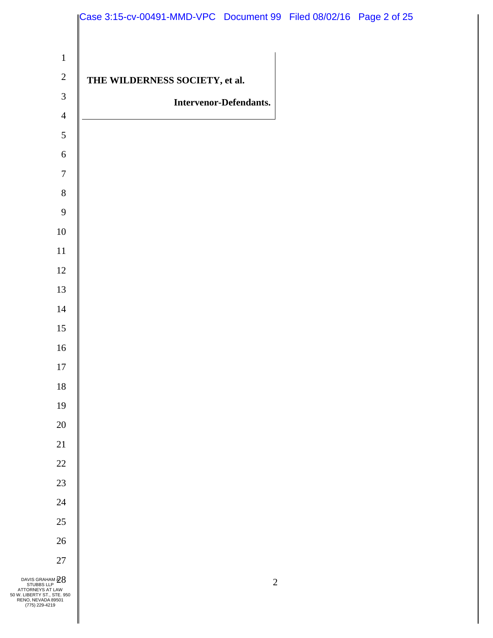| $\mathbf{1}$<br>$\sqrt{2}$<br>THE WILDERNESS SOCIETY, et al.<br>$\mathfrak{Z}$<br><b>Intervenor-Defendants.</b><br>$\overline{4}$<br>5<br>$\sqrt{6}$<br>$\boldsymbol{7}$<br>$8\,$<br>9<br>$10\,$<br>$11\,$<br>$12\,$<br>13<br>$14\,$ | Case 3:15-cv-00491-MMD-VPC Document 99 Filed 08/02/16 Page 2 of 25 |
|--------------------------------------------------------------------------------------------------------------------------------------------------------------------------------------------------------------------------------------|--------------------------------------------------------------------|
|                                                                                                                                                                                                                                      |                                                                    |
|                                                                                                                                                                                                                                      |                                                                    |
|                                                                                                                                                                                                                                      |                                                                    |
|                                                                                                                                                                                                                                      |                                                                    |
|                                                                                                                                                                                                                                      |                                                                    |
|                                                                                                                                                                                                                                      |                                                                    |
|                                                                                                                                                                                                                                      |                                                                    |
|                                                                                                                                                                                                                                      |                                                                    |
|                                                                                                                                                                                                                                      |                                                                    |
|                                                                                                                                                                                                                                      |                                                                    |
|                                                                                                                                                                                                                                      |                                                                    |
|                                                                                                                                                                                                                                      |                                                                    |
|                                                                                                                                                                                                                                      |                                                                    |
|                                                                                                                                                                                                                                      |                                                                    |
|                                                                                                                                                                                                                                      |                                                                    |
| 15                                                                                                                                                                                                                                   |                                                                    |
| $16\,$                                                                                                                                                                                                                               |                                                                    |
| 17                                                                                                                                                                                                                                   |                                                                    |
| $18\,$                                                                                                                                                                                                                               |                                                                    |
| 19                                                                                                                                                                                                                                   |                                                                    |
| $20\,$                                                                                                                                                                                                                               |                                                                    |
| $21\,$                                                                                                                                                                                                                               |                                                                    |
| $22\,$                                                                                                                                                                                                                               |                                                                    |
| $23\,$                                                                                                                                                                                                                               |                                                                    |
| 24                                                                                                                                                                                                                                   |                                                                    |
| $25\,$                                                                                                                                                                                                                               |                                                                    |
| $26\,$                                                                                                                                                                                                                               |                                                                    |
| $27\,$                                                                                                                                                                                                                               |                                                                    |
| $\begin{matrix}\n\text{DAVIS GRAHAM} \,\textcircled{28}\\ \text{STUBBS LLP}\n\end{matrix}$ ATTORNEYS AT LAW<br>$\overline{2}$<br>50 W. LIBERTY ST., STE. 950<br>RENO, NEVADA 89501<br>(775) 229-4219                                 |                                                                    |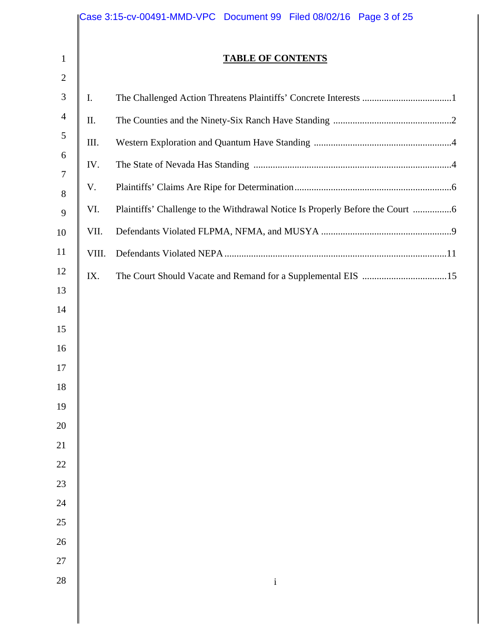|                              |       | Case 3:15-cv-00491-MMD-VPC  Document 99  Filed 08/02/16  Page 3 of 25       |
|------------------------------|-------|-----------------------------------------------------------------------------|
| $\mathbf{1}$<br>$\mathbf{2}$ |       | <b>TABLE OF CONTENTS</b>                                                    |
| 3                            | I.    |                                                                             |
| $\overline{4}$               | Π.    |                                                                             |
| 5                            | III.  |                                                                             |
| 6                            | IV.   |                                                                             |
| 7<br>8                       | V.    |                                                                             |
| 9                            | VI.   | Plaintiffs' Challenge to the Withdrawal Notice Is Properly Before the Court |
| 10                           | VII.  |                                                                             |
| 11                           | VIII. |                                                                             |
| 12                           | IX.   |                                                                             |
| 13                           |       |                                                                             |
| 14                           |       |                                                                             |
| 15                           |       |                                                                             |
| 16<br>17                     |       |                                                                             |
| 18                           |       |                                                                             |
| 19                           |       |                                                                             |
| 20                           |       |                                                                             |
| 21                           |       |                                                                             |
| 22                           |       |                                                                             |
| 23                           |       |                                                                             |
| 24                           |       |                                                                             |
| 25                           |       |                                                                             |
| 26<br>27                     |       |                                                                             |
| 28                           |       | $\mathbf{i}$                                                                |
|                              |       |                                                                             |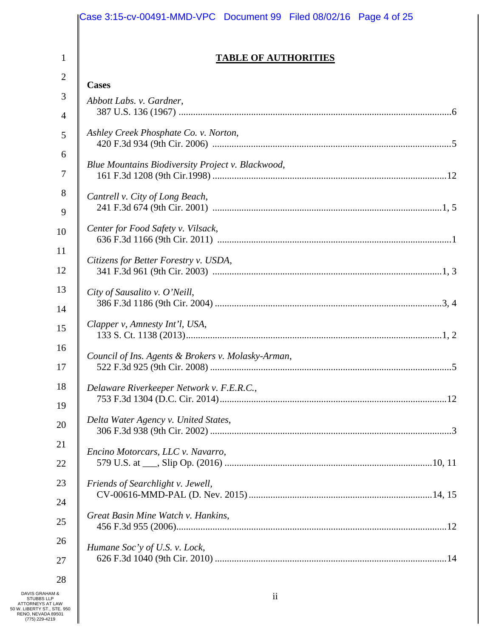|                | Case 3:15-cv-00491-MMD-VPC Document 99 Filed 08/02/16 Page 4 of 25 |
|----------------|--------------------------------------------------------------------|
| 1              | <b>TABLE OF AUTHORITIES</b>                                        |
| $\overline{2}$ | <b>Cases</b>                                                       |
| 3              | Abbott Labs. v. Gardner,                                           |
| $\overline{4}$ |                                                                    |
| 5              | Ashley Creek Phosphate Co. v. Norton,                              |
| 6              |                                                                    |
| $\overline{7}$ | Blue Mountains Biodiversity Project v. Blackwood,                  |
| 8              | Cantrell v. City of Long Beach,                                    |
| 9              |                                                                    |
| 10             | Center for Food Safety v. Vilsack,                                 |
| 11             |                                                                    |
| 12             | Citizens for Better Forestry v. USDA,                              |
| 13             | City of Sausalito v. O'Neill,                                      |
| 14             |                                                                    |
| 15             | Clapper v, Amnesty Int'l, USA,                                     |
| 16             | Council of Ins. Agents & Brokers v. Molasky-Arman,                 |
| 17             |                                                                    |
| 18             | Delaware Riverkeeper Network v. F.E.R.C.,                          |
| 19             |                                                                    |
| 20             | Delta Water Agency v. United States,                               |
| 21             | Encino Motorcars, LLC v. Navarro,                                  |
| 22             |                                                                    |
| 23             | Friends of Searchlight v. Jewell,                                  |
| 24             |                                                                    |
| 25             | Great Basin Mine Watch v. Hankins,                                 |
| 26             | Humane Soc'y of U.S. v. Lock,                                      |
| 27             |                                                                    |
| 28             |                                                                    |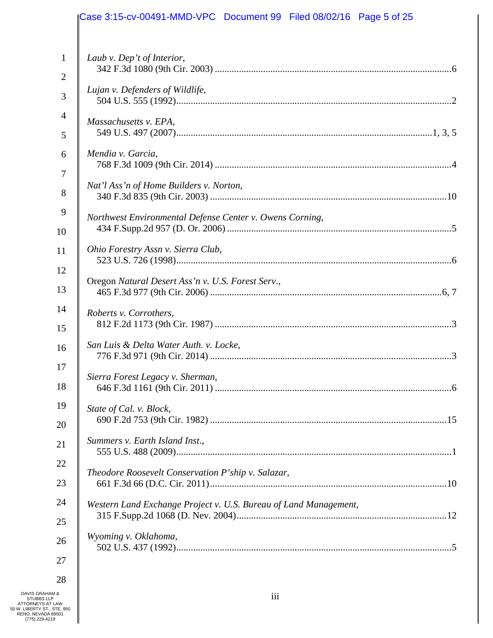|                     | Case 3:15-cv-00491-MMD-VPC Document 99 Filed 08/02/16 Page 5 of 25 |
|---------------------|--------------------------------------------------------------------|
| $\mathbf{1}$        | Laub v. Dep't of Interior,                                         |
| $\overline{2}$      |                                                                    |
| 3                   | Lujan v. Defenders of Wildlife,                                    |
| $\overline{4}$      | Massachusetts v. EPA,                                              |
| 5                   |                                                                    |
| 6<br>$\overline{7}$ | Mendia v. Garcia,                                                  |
| 8                   | Nat'l Ass'n of Home Builders v. Norton,                            |
| 9<br>10             | Northwest Environmental Defense Center v. Owens Corning,           |
| 11                  | Ohio Forestry Assn v. Sierra Club,                                 |
| 12                  |                                                                    |
| 13                  | Oregon Natural Desert Ass'n v. U.S. Forest Serv.,                  |
| 14<br>15            | Roberts v. Corrothers,                                             |
| 16<br>17            | San Luis & Delta Water Auth. v. Locke,                             |
| 18                  | Sierra Forest Legacy v. Sherman,                                   |
| 19                  | State of Cal. v. Block,                                            |
| 20                  |                                                                    |
| 21                  | Summers v. Earth Island Inst.,                                     |
| 22                  | Theodore Roosevelt Conservation P'ship v. Salazar,                 |
| 23                  |                                                                    |
| 24                  | Western Land Exchange Project v. U.S. Bureau of Land Management,   |
| 25                  |                                                                    |
| 26                  | Wyoming v. Oklahoma,                                               |
| 27                  |                                                                    |
| 28                  |                                                                    |

DAVIS GRAHAM &<br>
STUBBS LLP<br>
ATTORNEYS AT LAW<br>
50 W. LIBERTY ST., STE. 950<br>
RENO, NEVADA 89501<br>
(775) 229-4219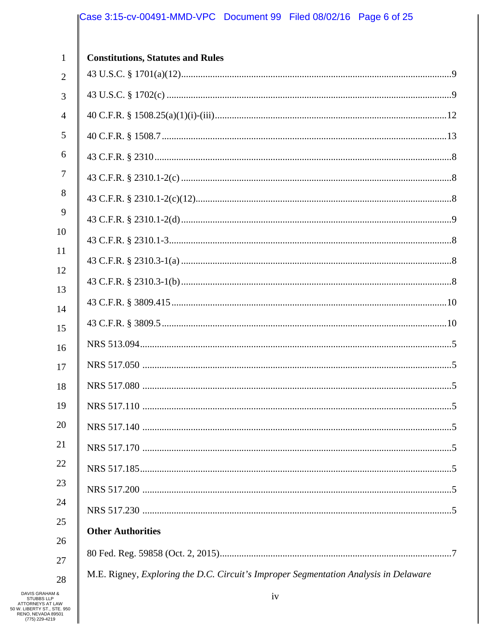# Case 3:15-cv-00491-MMD-VPC Document 99 Filed 08/02/16 Page 6 of 25

| $\mathbf{1}$   | <b>Constitutions, Statutes and Rules</b>                                             |
|----------------|--------------------------------------------------------------------------------------|
| $\overline{2}$ |                                                                                      |
| 3              |                                                                                      |
| 4              |                                                                                      |
| 5              |                                                                                      |
| 6              |                                                                                      |
| 7              |                                                                                      |
| 8              |                                                                                      |
| 9              |                                                                                      |
| 10             |                                                                                      |
| 11             |                                                                                      |
| 12             |                                                                                      |
| 13<br>14       |                                                                                      |
| 15             |                                                                                      |
| 16             |                                                                                      |
| 17             |                                                                                      |
| 18             |                                                                                      |
| 19             |                                                                                      |
| 20             |                                                                                      |
| 21             |                                                                                      |
| 22             |                                                                                      |
| 23             |                                                                                      |
| 24             |                                                                                      |
| 25             | <b>Other Authorities</b>                                                             |
| 26             |                                                                                      |
| 27             | M.E. Rigney, Exploring the D.C. Circuit's Improper Segmentation Analysis in Delaware |
| 28             |                                                                                      |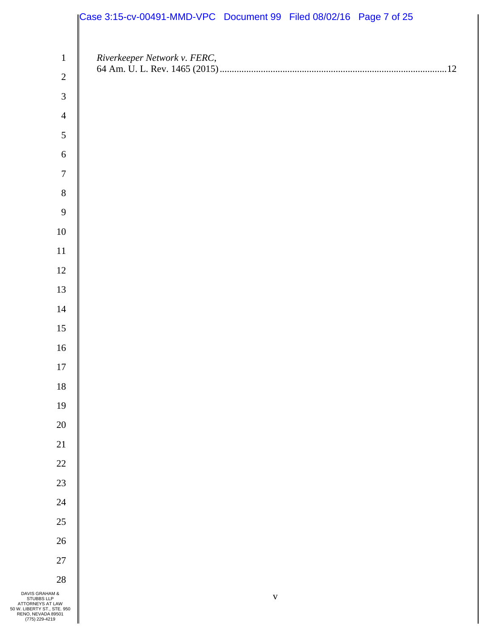|                                                                   | Case 3:15-cv-00491-MMD-VPC Document 99 Filed 08/02/16 Page 7 of 25 |             |  |  |
|-------------------------------------------------------------------|--------------------------------------------------------------------|-------------|--|--|
|                                                                   |                                                                    |             |  |  |
| $1\,$                                                             | Riverkeeper Network v. FERC,                                       |             |  |  |
| $\sqrt{2}$                                                        |                                                                    |             |  |  |
| $\mathfrak{Z}$                                                    |                                                                    |             |  |  |
| $\overline{4}$                                                    |                                                                    |             |  |  |
| 5                                                                 |                                                                    |             |  |  |
| $\sqrt{6}$                                                        |                                                                    |             |  |  |
| $\boldsymbol{7}$                                                  |                                                                    |             |  |  |
| $8\,$                                                             |                                                                    |             |  |  |
| 9                                                                 |                                                                    |             |  |  |
| $10\,$                                                            |                                                                    |             |  |  |
| $11\,$                                                            |                                                                    |             |  |  |
| $12\,$                                                            |                                                                    |             |  |  |
| 13                                                                |                                                                    |             |  |  |
| 14                                                                |                                                                    |             |  |  |
| 15                                                                |                                                                    |             |  |  |
| $16\,$                                                            |                                                                    |             |  |  |
| 17                                                                |                                                                    |             |  |  |
| $18\,$                                                            |                                                                    |             |  |  |
| 19                                                                |                                                                    |             |  |  |
| $20\,$                                                            |                                                                    |             |  |  |
| $21\,$                                                            |                                                                    |             |  |  |
| $22\,$                                                            |                                                                    |             |  |  |
| $23\,$                                                            |                                                                    |             |  |  |
| $24\,$                                                            |                                                                    |             |  |  |
| $25\,$                                                            |                                                                    |             |  |  |
| $26\,$                                                            |                                                                    |             |  |  |
| $27\,$                                                            |                                                                    |             |  |  |
| $28\,$                                                            |                                                                    |             |  |  |
| & HAM<br><b>LLP</b><br>AT LAW<br>T., STE. 950<br>DA 89501<br>4219 |                                                                    | $\mathbf V$ |  |  |

DAVIS GRAHAM &<br>
STUBBS LLP<br>
ATTORNEYS AT LAW<br>
50 W. LIBERTY ST., STE. 950<br>
RENO, NEVADA 89501<br>
(775) 229-4219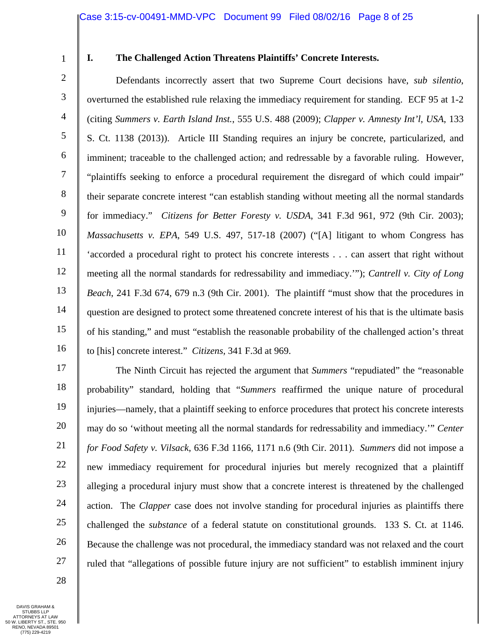1

## **I. The Challenged Action Threatens Plaintiffs' Concrete Interests.**

2 3 4 5 6 7 8 9 10 11 12 13 14 15 16 Defendants incorrectly assert that two Supreme Court decisions have, *sub silentio*, overturned the established rule relaxing the immediacy requirement for standing. ECF 95 at 1-2 (citing *Summers v. Earth Island Inst.*, 555 U.S. 488 (2009); *Clapper v. Amnesty Int'l, USA*, 133 S. Ct. 1138 (2013)). Article III Standing requires an injury be concrete, particularized, and imminent; traceable to the challenged action; and redressable by a favorable ruling. However, "plaintiffs seeking to enforce a procedural requirement the disregard of which could impair" their separate concrete interest "can establish standing without meeting all the normal standards for immediacy." *Citizens for Better Foresty v. USDA*, 341 F.3d 961, 972 (9th Cir. 2003); *Massachusetts v. EPA*, 549 U.S. 497, 517-18 (2007) ("[A] litigant to whom Congress has 'accorded a procedural right to protect his concrete interests . . . can assert that right without meeting all the normal standards for redressability and immediacy.'"); *Cantrell v. City of Long Beach*, 241 F.3d 674, 679 n.3 (9th Cir. 2001). The plaintiff "must show that the procedures in question are designed to protect some threatened concrete interest of his that is the ultimate basis of his standing," and must "establish the reasonable probability of the challenged action's threat to [his] concrete interest." *Citizens,* 341 F.3d at 969.

17 18 19 20 21 22 23 24 25 26 27 The Ninth Circuit has rejected the argument that *Summers* "repudiated" the "reasonable probability" standard, holding that "*Summers* reaffirmed the unique nature of procedural injuries—namely, that a plaintiff seeking to enforce procedures that protect his concrete interests may do so 'without meeting all the normal standards for redressability and immediacy.'" *Center for Food Safety v. Vilsack*, 636 F.3d 1166, 1171 n.6 (9th Cir. 2011). *Summers* did not impose a new immediacy requirement for procedural injuries but merely recognized that a plaintiff alleging a procedural injury must show that a concrete interest is threatened by the challenged action. The *Clapper* case does not involve standing for procedural injuries as plaintiffs there challenged the *substance* of a federal statute on constitutional grounds. 133 S. Ct. at 1146. Because the challenge was not procedural, the immediacy standard was not relaxed and the court ruled that "allegations of possible future injury are not sufficient" to establish imminent injury

28

DAVIS GRAHAM & STUBBS LLP ATTORNEYS AT LAW 50 W. LIBERTY ST., STE. 950 RENO, NEVADA 89501 (775) 229-4219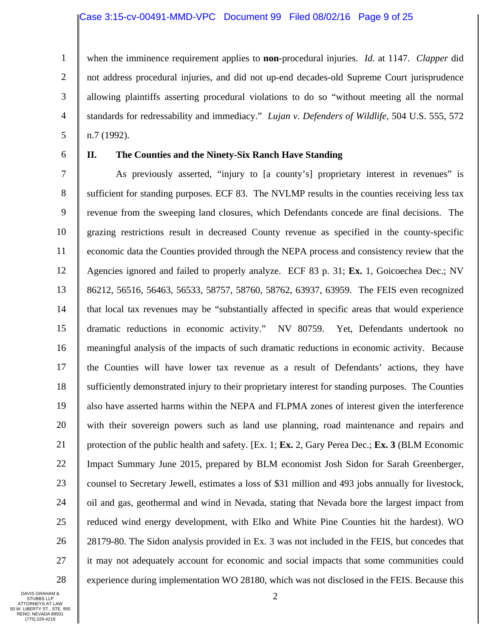#### Case 3:15-cv-00491-MMD-VPC Document 99 Filed 08/02/16 Page 9 of 25

1 2 3 4 5 when the imminence requirement applies to **non**-procedural injuries. *Id.* at 1147. *Clapper* did not address procedural injuries, and did not up-end decades-old Supreme Court jurisprudence allowing plaintiffs asserting procedural violations to do so "without meeting all the normal standards for redressability and immediacy." *Lujan v. Defenders of Wildlife*, 504 U.S. 555, 572 n.7 (1992).

6

# **II. The Counties and the Ninety-Six Ranch Have Standing**

7 8 9 10 11 12 13 14 15 16 17 18 19 20 21 22 23 24 25 26 27 28 As previously asserted, "injury to [a county's] proprietary interest in revenues" is sufficient for standing purposes. ECF 83. The NVLMP results in the counties receiving less tax revenue from the sweeping land closures, which Defendants concede are final decisions. The grazing restrictions result in decreased County revenue as specified in the county-specific economic data the Counties provided through the NEPA process and consistency review that the Agencies ignored and failed to properly analyze. ECF 83 p. 31; **Ex.** 1, Goicoechea Dec.; NV 86212, 56516, 56463, 56533, 58757, 58760, 58762, 63937, 63959. The FEIS even recognized that local tax revenues may be "substantially affected in specific areas that would experience dramatic reductions in economic activity." NV 80759. Yet, Defendants undertook no meaningful analysis of the impacts of such dramatic reductions in economic activity. Because the Counties will have lower tax revenue as a result of Defendants' actions, they have sufficiently demonstrated injury to their proprietary interest for standing purposes. The Counties also have asserted harms within the NEPA and FLPMA zones of interest given the interference with their sovereign powers such as land use planning, road maintenance and repairs and protection of the public health and safety. [Ex. 1; **Ex.** 2, Gary Perea Dec.; **Ex. 3** (BLM Economic Impact Summary June 2015, prepared by BLM economist Josh Sidon for Sarah Greenberger, counsel to Secretary Jewell, estimates a loss of \$31 million and 493 jobs annually for livestock, oil and gas, geothermal and wind in Nevada, stating that Nevada bore the largest impact from reduced wind energy development, with Elko and White Pine Counties hit the hardest). WO 28179-80. The Sidon analysis provided in Ex. 3 was not included in the FEIS, but concedes that it may not adequately account for economic and social impacts that some communities could experience during implementation WO 28180, which was not disclosed in the FEIS. Because this

DAVIS GRAHAM & STUBBS LLP ATTORNEYS AT LAW 50 W. LIBERTY ST., STE. 950 RENO, NEVADA 89501 (775) 229-4219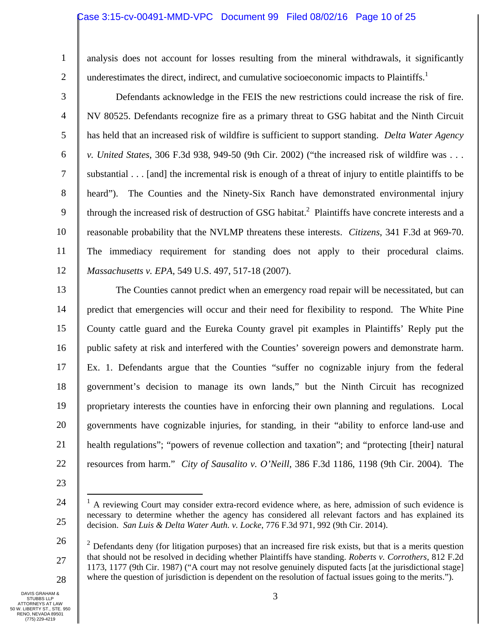## Case 3:15-cv-00491-MMD-VPC Document 99 Filed 08/02/16 Page 10 of 25

1 2 analysis does not account for losses resulting from the mineral withdrawals, it significantly underestimates the direct, indirect, and cumulative socioeconomic impacts to Plaintiffs.<sup>1</sup>

3 4 5 6 7 8 9 10 11 12 Defendants acknowledge in the FEIS the new restrictions could increase the risk of fire. NV 80525. Defendants recognize fire as a primary threat to GSG habitat and the Ninth Circuit has held that an increased risk of wildfire is sufficient to support standing. *Delta Water Agency v. United States*, 306 F.3d 938, 949-50 (9th Cir. 2002) ("the increased risk of wildfire was . . . substantial . . . [and] the incremental risk is enough of a threat of injury to entitle plaintiffs to be heard"). The Counties and the Ninety-Six Ranch have demonstrated environmental injury through the increased risk of destruction of GSG habitat.<sup>2</sup> Plaintiffs have concrete interests and a reasonable probability that the NVLMP threatens these interests. *Citizens*, 341 F.3d at 969-70. The immediacy requirement for standing does not apply to their procedural claims. *Massachusetts v. EPA*, 549 U.S. 497, 517-18 (2007).

13 14 15 16 17 18 19 20 21 22 The Counties cannot predict when an emergency road repair will be necessitated, but can predict that emergencies will occur and their need for flexibility to respond. The White Pine County cattle guard and the Eureka County gravel pit examples in Plaintiffs' Reply put the public safety at risk and interfered with the Counties' sovereign powers and demonstrate harm. Ex. 1. Defendants argue that the Counties "suffer no cognizable injury from the federal government's decision to manage its own lands," but the Ninth Circuit has recognized proprietary interests the counties have in enforcing their own planning and regulations. Local governments have cognizable injuries, for standing, in their "ability to enforce land-use and health regulations"; "powers of revenue collection and taxation"; and "protecting [their] natural resources from harm." *City of Sausalito v. O'Neill*, 386 F.3d 1186, 1198 (9th Cir. 2004). The

- 23
- 24

 $\overline{a}$ 

<sup>25</sup> 

 $<sup>1</sup>$  A reviewing Court may consider extra-record evidence where, as here, admission of such evidence is</sup> necessary to determine whether the agency has considered all relevant factors and has explained its decision. *San Luis & Delta Water Auth. v. Locke*, 776 F.3d 971, 992 (9th Cir. 2014).

<sup>26</sup>  27 28  $2$  Defendants deny (for litigation purposes) that an increased fire risk exists, but that is a merits question that should not be resolved in deciding whether Plaintiffs have standing. *Roberts v. Corrothers*, 812 F.2d 1173, 1177 (9th Cir. 1987) ("A court may not resolve genuinely disputed facts [at the jurisdictional stage] where the question of jurisdiction is dependent on the resolution of factual issues going to the merits.").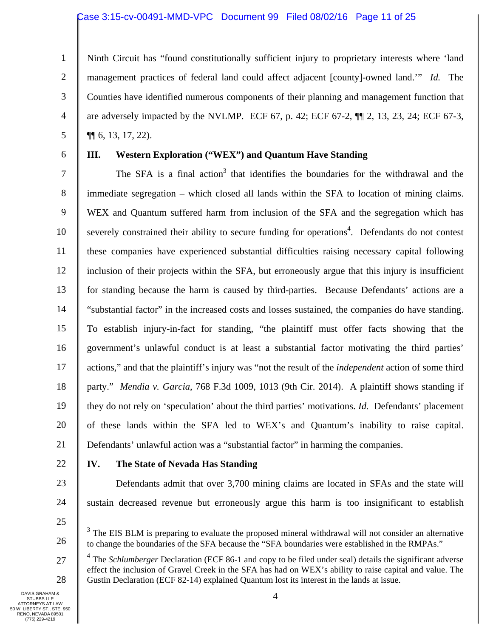### Case 3:15-cv-00491-MMD-VPC Document 99 Filed 08/02/16 Page 11 of 25

1 2 3 4 5 Ninth Circuit has "found constitutionally sufficient injury to proprietary interests where 'land management practices of federal land could affect adjacent [county]-owned land.'" *Id.* The Counties have identified numerous components of their planning and management function that are adversely impacted by the NVLMP. ECF 67, p. 42; ECF 67-2, ¶¶ 2, 13, 23, 24; ECF 67-3, ¶¶ 6, 13, 17, 22).

6

# **III. Western Exploration ("WEX") and Quantum Have Standing**

7 8 9 10 11 12 13 14 15 16 17 18 19 20 21 The SFA is a final action<sup>3</sup> that identifies the boundaries for the withdrawal and the immediate segregation – which closed all lands within the SFA to location of mining claims. WEX and Quantum suffered harm from inclusion of the SFA and the segregation which has severely constrained their ability to secure funding for operations<sup>4</sup>. Defendants do not contest these companies have experienced substantial difficulties raising necessary capital following inclusion of their projects within the SFA, but erroneously argue that this injury is insufficient for standing because the harm is caused by third-parties. Because Defendants' actions are a "substantial factor" in the increased costs and losses sustained, the companies do have standing. To establish injury-in-fact for standing, "the plaintiff must offer facts showing that the government's unlawful conduct is at least a substantial factor motivating the third parties' actions," and that the plaintiff's injury was "not the result of the *independent* action of some third party." *Mendia v. Garcia*, 768 F.3d 1009, 1013 (9th Cir. 2014). A plaintiff shows standing if they do not rely on 'speculation' about the third parties' motivations. *Id.* Defendants' placement of these lands within the SFA led to WEX's and Quantum's inability to raise capital. Defendants' unlawful action was a "substantial factor" in harming the companies.

22

## **IV. The State of Nevada Has Standing**

23

Defendants admit that over 3,700 mining claims are located in SFAs and the state will sustain decreased revenue but erroneously argue this harm is too insignificant to establish

25

 $\overline{a}$ 

26

<sup>&</sup>lt;sup>3</sup> The EIS BLM is preparing to evaluate the proposed mineral withdrawal will not consider an alternative to change the boundaries of the SFA because the "SFA boundaries were established in the RMPAs."

<sup>27</sup>  28 <sup>4</sup> The *Schlumberger* Declaration (ECF 86-1 and copy to be filed under seal) details the significant adverse effect the inclusion of Gravel Creek in the SFA has had on WEX's ability to raise capital and value. The Gustin Declaration (ECF 82-14) explained Quantum lost its interest in the lands at issue.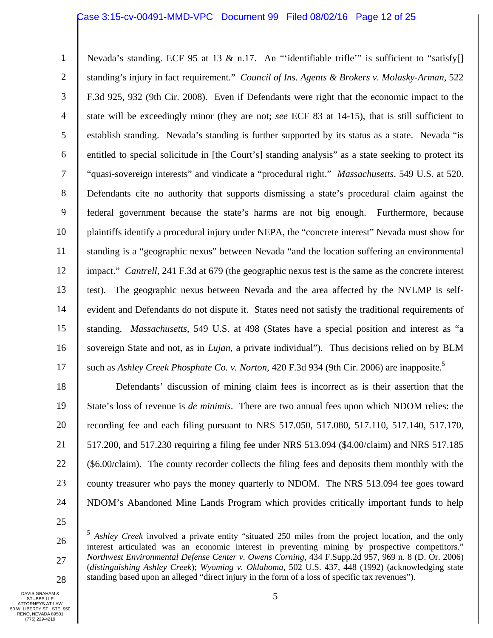### Case 3:15-cv-00491-MMD-VPC Document 99 Filed 08/02/16 Page 12 of 25

1 2 3 4 5 6 7 8 9 10 11 12 13 14 15 16 17 Nevada's standing. ECF 95 at 13  $\&$  n.17. An "'identifiable trifle'" is sufficient to "satisfy standing's injury in fact requirement." *Council of Ins. Agents & Brokers v. Molasky-Arman*, 522 F.3d 925, 932 (9th Cir. 2008). Even if Defendants were right that the economic impact to the state will be exceedingly minor (they are not; *see* ECF 83 at 14-15), that is still sufficient to establish standing. Nevada's standing is further supported by its status as a state. Nevada "is entitled to special solicitude in [the Court's] standing analysis" as a state seeking to protect its "quasi-sovereign interests" and vindicate a "procedural right." *Massachusetts*, 549 U.S. at 520. Defendants cite no authority that supports dismissing a state's procedural claim against the federal government because the state's harms are not big enough. Furthermore, because plaintiffs identify a procedural injury under NEPA, the "concrete interest" Nevada must show for standing is a "geographic nexus" between Nevada "and the location suffering an environmental impact." *Cantrell*, 241 F.3d at 679 (the geographic nexus test is the same as the concrete interest test). The geographic nexus between Nevada and the area affected by the NVLMP is selfevident and Defendants do not dispute it. States need not satisfy the traditional requirements of standing. *Massachusetts*, 549 U.S. at 498 (States have a special position and interest as "a sovereign State and not, as in *Lujan*, a private individual"). Thus decisions relied on by BLM such as *Ashley Creek Phosphate Co. v. Norton*, 420 F.3d 934 (9th Cir. 2006) are inapposite.5

18 19 20 21 22 23 24 Defendants' discussion of mining claim fees is incorrect as is their assertion that the State's loss of revenue is *de minimis*. There are two annual fees upon which NDOM relies: the recording fee and each filing pursuant to NRS 517.050, 517.080, 517.110, 517.140, 517.170, 517.200, and 517.230 requiring a filing fee under NRS 513.094 (\$4.00/claim) and NRS 517.185 (\$6.00/claim). The county recorder collects the filing fees and deposits them monthly with the county treasurer who pays the money quarterly to NDOM. The NRS 513.094 fee goes toward NDOM's Abandoned Mine Lands Program which provides critically important funds to help

25

<u>.</u>

<sup>26</sup>  27 28 <sup>5</sup> *Ashley Creek* involved a private entity "situated 250 miles from the project location, and the only interest articulated was an economic interest in preventing mining by prospective competitors." *Northwest Environmental Defense Center v. Owens Corning*, 434 F.Supp.2d 957, 969 n. 8 (D. Or. 2006) (*distinguishing Ashley Creek*); *Wyoming v. Oklahoma*, 502 U.S. 437, 448 (1992) (acknowledging state standing based upon an alleged "direct injury in the form of a loss of specific tax revenues").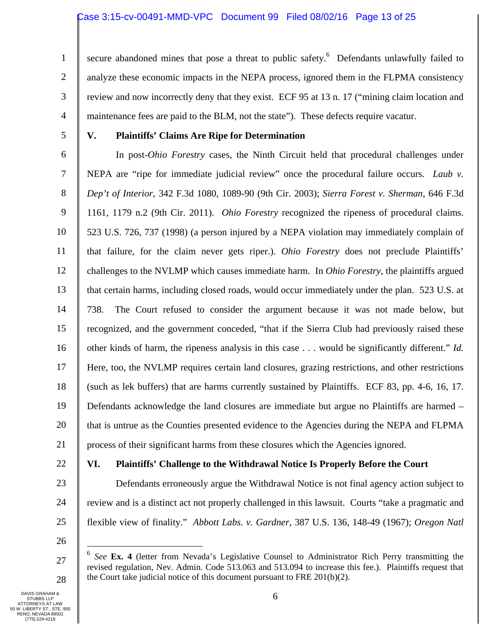1 2 3 4 secure abandoned mines that pose a threat to public safety.<sup>6</sup> Defendants unlawfully failed to analyze these economic impacts in the NEPA process, ignored them in the FLPMA consistency review and now incorrectly deny that they exist. ECF 95 at 13 n. 17 ("mining claim location and maintenance fees are paid to the BLM, not the state"). These defects require vacatur.

5

# **V. Plaintiffs' Claims Are Ripe for Determination**

6 7 8 9 10 11 12 13 14 15 16 17 18 19 20 21 In post-*Ohio Forestry* cases, the Ninth Circuit held that procedural challenges under NEPA are "ripe for immediate judicial review" once the procedural failure occurs. *Laub v. Dep't of Interior*, 342 F.3d 1080, 1089-90 (9th Cir. 2003); *Sierra Forest v. Sherman*, 646 F.3d 1161, 1179 n.2 (9th Cir. 2011). *Ohio Forestry* recognized the ripeness of procedural claims. 523 U.S. 726, 737 (1998) (a person injured by a NEPA violation may immediately complain of that failure, for the claim never gets riper.). *Ohio Forestry* does not preclude Plaintiffs' challenges to the NVLMP which causes immediate harm. In *Ohio Forestry*, the plaintiffs argued that certain harms, including closed roads, would occur immediately under the plan. 523 U.S. at 738. The Court refused to consider the argument because it was not made below, but recognized, and the government conceded, "that if the Sierra Club had previously raised these other kinds of harm, the ripeness analysis in this case . . . would be significantly different." *Id.* Here, too, the NVLMP requires certain land closures, grazing restrictions, and other restrictions (such as lek buffers) that are harms currently sustained by Plaintiffs. ECF 83, pp. 4-6, 16, 17. Defendants acknowledge the land closures are immediate but argue no Plaintiffs are harmed – that is untrue as the Counties presented evidence to the Agencies during the NEPA and FLPMA process of their significant harms from these closures which the Agencies ignored.

22

# **VI. Plaintiffs' Challenge to the Withdrawal Notice Is Properly Before the Court**

23 24 25 Defendants erroneously argue the Withdrawal Notice is not final agency action subject to review and is a distinct act not properly challenged in this lawsuit. Courts "take a pragmatic and flexible view of finality." *Abbott Labs. v. Gardner*, 387 U.S. 136, 148-49 (1967); *Oregon Natl* 

26

1

27

<sup>6</sup> *See* **Ex. 4** (letter from Nevada's Legislative Counsel to Administrator Rich Perry transmitting the revised regulation, Nev. Admin. Code 513.063 and 513.094 to increase this fee.). Plaintiffs request that the Court take judicial notice of this document pursuant to FRE 201(b)(2).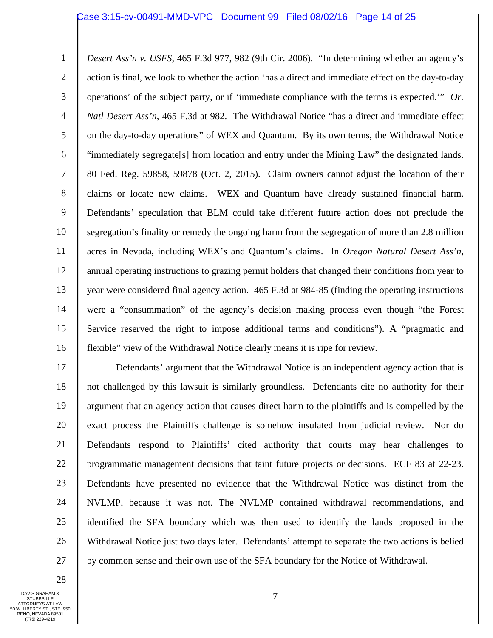#### Case 3:15-cv-00491-MMD-VPC Document 99 Filed 08/02/16 Page 14 of 25

1 2 3 4 5 6 7 8 9 10 11 12 13 14 15 16 *Desert Ass'n v. USFS*, 465 F.3d 977, 982 (9th Cir. 2006). "In determining whether an agency's action is final, we look to whether the action 'has a direct and immediate effect on the day-to-day operations' of the subject party, or if 'immediate compliance with the terms is expected.'" *Or. Natl Desert Ass'n*, 465 F.3d at 982. The Withdrawal Notice "has a direct and immediate effect on the day-to-day operations" of WEX and Quantum.By its own terms, the Withdrawal Notice "immediately segregate[s] from location and entry under the Mining Law" the designated lands. 80 Fed. Reg. 59858, 59878 (Oct. 2, 2015). Claim owners cannot adjust the location of their claims or locate new claims. WEX and Quantum have already sustained financial harm. Defendants' speculation that BLM could take different future action does not preclude the segregation's finality or remedy the ongoing harm from the segregation of more than 2.8 million acres in Nevada, including WEX's and Quantum's claims. In *Oregon Natural Desert Ass'n*, annual operating instructions to grazing permit holders that changed their conditions from year to year were considered final agency action. 465 F.3d at 984-85 (finding the operating instructions were a "consummation" of the agency's decision making process even though "the Forest Service reserved the right to impose additional terms and conditions"). A "pragmatic and flexible" view of the Withdrawal Notice clearly means it is ripe for review.

17 18 19 20 21 22 23 24 25 26 27 Defendants' argument that the Withdrawal Notice is an independent agency action that is not challenged by this lawsuit is similarly groundless. Defendants cite no authority for their argument that an agency action that causes direct harm to the plaintiffs and is compelled by the exact process the Plaintiffs challenge is somehow insulated from judicial review. Nor do Defendants respond to Plaintiffs' cited authority that courts may hear challenges to programmatic management decisions that taint future projects or decisions. ECF 83 at 22-23. Defendants have presented no evidence that the Withdrawal Notice was distinct from the NVLMP, because it was not. The NVLMP contained withdrawal recommendations, and identified the SFA boundary which was then used to identify the lands proposed in the Withdrawal Notice just two days later. Defendants' attempt to separate the two actions is belied by common sense and their own use of the SFA boundary for the Notice of Withdrawal.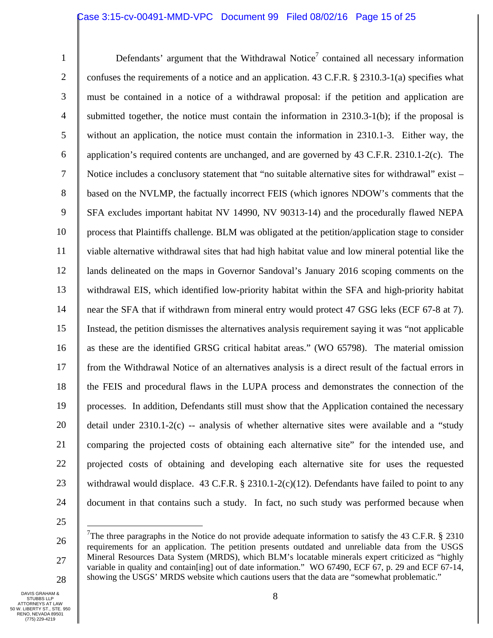### Case 3:15-cv-00491-MMD-VPC Document 99 Filed 08/02/16 Page 15 of 25

1 2 3 4 5 6 7 8 9 10 11 12 13 14 15 16 17 18 19 20 21 22 23 24 Defendants' argument that the Withdrawal Notice<sup>7</sup> contained all necessary information confuses the requirements of a notice and an application. 43 C.F.R. § 2310.3-1(a) specifies what must be contained in a notice of a withdrawal proposal: if the petition and application are submitted together, the notice must contain the information in 2310.3-1(b); if the proposal is without an application, the notice must contain the information in 2310.1-3. Either way, the application's required contents are unchanged, and are governed by 43 C.F.R. 2310.1-2(c). The Notice includes a conclusory statement that "no suitable alternative sites for withdrawal" exist – based on the NVLMP, the factually incorrect FEIS (which ignores NDOW's comments that the SFA excludes important habitat NV 14990, NV 90313-14) and the procedurally flawed NEPA process that Plaintiffs challenge. BLM was obligated at the petition/application stage to consider viable alternative withdrawal sites that had high habitat value and low mineral potential like the lands delineated on the maps in Governor Sandoval's January 2016 scoping comments on the withdrawal EIS, which identified low-priority habitat within the SFA and high-priority habitat near the SFA that if withdrawn from mineral entry would protect 47 GSG leks (ECF 67-8 at 7). Instead, the petition dismisses the alternatives analysis requirement saying it was "not applicable as these are the identified GRSG critical habitat areas." (WO 65798). The material omission from the Withdrawal Notice of an alternatives analysis is a direct result of the factual errors in the FEIS and procedural flaws in the LUPA process and demonstrates the connection of the processes. In addition, Defendants still must show that the Application contained the necessary detail under 2310.1-2(c) -- analysis of whether alternative sites were available and a "study comparing the projected costs of obtaining each alternative site" for the intended use, and projected costs of obtaining and developing each alternative site for uses the requested withdrawal would displace.  $43$  C.F.R. § 2310.1-2(c)(12). Defendants have failed to point to any document in that contains such a study. In fact, no such study was performed because when

25

 $\overline{a}$ 

<sup>26</sup>  27 28 <sup>7</sup>The three paragraphs in the Notice do not provide adequate information to satisfy the 43 C.F.R.  $\S$  2310 requirements for an application. The petition presents outdated and unreliable data from the USGS Mineral Resources Data System (MRDS), which BLM's locatable minerals expert criticized as "highly variable in quality and contain[ing] out of date information." WO 67490, ECF 67, p. 29 and ECF 67-14, showing the USGS' MRDS website which cautions users that the data are "somewhat problematic."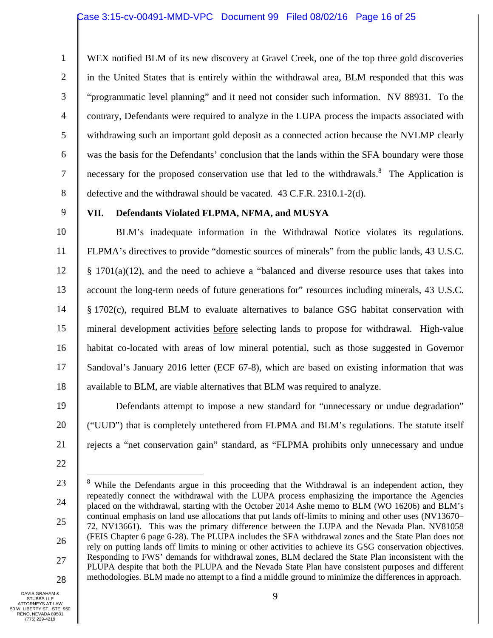1 2 3 4 5 6 7 8 WEX notified BLM of its new discovery at Gravel Creek, one of the top three gold discoveries in the United States that is entirely within the withdrawal area, BLM responded that this was "programmatic level planning" and it need not consider such information. NV 88931. To the contrary, Defendants were required to analyze in the LUPA process the impacts associated with withdrawing such an important gold deposit as a connected action because the NVLMP clearly was the basis for the Defendants' conclusion that the lands within the SFA boundary were those necessary for the proposed conservation use that led to the withdrawals.<sup>8</sup> The Application is defective and the withdrawal should be vacated. 43 C.F.R. 2310.1-2(d).

9

## **VII. Defendants Violated FLPMA, NFMA, and MUSYA**

10 11 12 13 14 15 16 17 18 BLM's inadequate information in the Withdrawal Notice violates its regulations. FLPMA's directives to provide "domestic sources of minerals" from the public lands, 43 U.S.C.  $§$  1701(a)(12), and the need to achieve a "balanced and diverse resource uses that takes into account the long-term needs of future generations for" resources including minerals, 43 U.S.C. § 1702(c), required BLM to evaluate alternatives to balance GSG habitat conservation with mineral development activities before selecting lands to propose for withdrawal. High-value habitat co-located with areas of low mineral potential, such as those suggested in Governor Sandoval's January 2016 letter (ECF 67-8), which are based on existing information that was available to BLM, are viable alternatives that BLM was required to analyze.

19 20 21 Defendants attempt to impose a new standard for "unnecessary or undue degradation" ("UUD") that is completely untethered from FLPMA and BLM's regulations. The statute itself rejects a "net conservation gain" standard, as "FLPMA prohibits only unnecessary and undue

22

1

23 24 25 26 27 28  $8$  While the Defendants argue in this proceeding that the Withdrawal is an independent action, they repeatedly connect the withdrawal with the LUPA process emphasizing the importance the Agencies placed on the withdrawal, starting with the October 2014 Ashe memo to BLM (WO 16206) and BLM's continual emphasis on land use allocations that put lands off-limits to mining and other uses (NV13670– 72, NV13661). This was the primary difference between the LUPA and the Nevada Plan. NV81058 (FEIS Chapter 6 page 6-28). The PLUPA includes the SFA withdrawal zones and the State Plan does not rely on putting lands off limits to mining or other activities to achieve its GSG conservation objectives. Responding to FWS' demands for withdrawal zones, BLM declared the State Plan inconsistent with the PLUPA despite that both the PLUPA and the Nevada State Plan have consistent purposes and different methodologies. BLM made no attempt to a find a middle ground to minimize the differences in approach.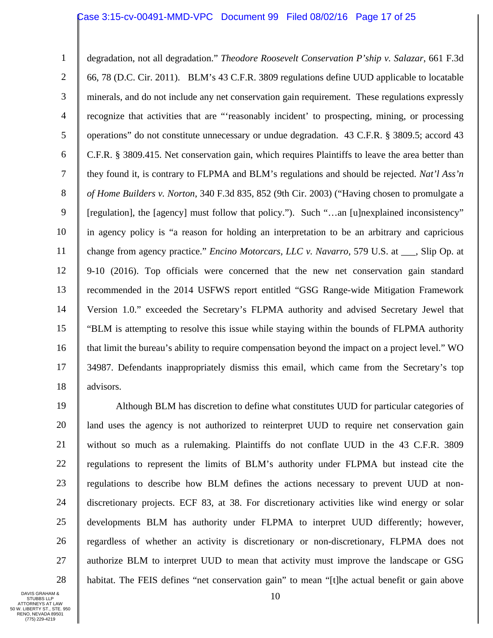## Case 3:15-cv-00491-MMD-VPC Document 99 Filed 08/02/16 Page 17 of 25

1 2 3 4 5 6 7 8 9 10 11 12 13 14 15 16 17 18 degradation, not all degradation." *Theodore Roosevelt Conservation P'ship v. Salazar*, 661 F.3d 66, 78 (D.C. Cir. 2011). BLM's 43 C.F.R. 3809 regulations define UUD applicable to locatable minerals, and do not include any net conservation gain requirement. These regulations expressly recognize that activities that are "'reasonably incident' to prospecting, mining, or processing operations" do not constitute unnecessary or undue degradation. 43 C.F.R. § 3809.5; accord 43 C.F.R. § 3809.415. Net conservation gain, which requires Plaintiffs to leave the area better than they found it, is contrary to FLPMA and BLM's regulations and should be rejected. *Nat'l Ass'n of Home Builders v. Norton*, 340 F.3d 835, 852 (9th Cir. 2003) ("Having chosen to promulgate a [regulation], the [agency] must follow that policy."). Such "…an [u]nexplained inconsistency" in agency policy is "a reason for holding an interpretation to be an arbitrary and capricious change from agency practice." *Encino Motorcars, LLC v. Navarro,* 579 U.S. at \_\_\_, Slip Op. at 9-10 (2016). Top officials were concerned that the new net conservation gain standard recommended in the 2014 USFWS report entitled "GSG Range-wide Mitigation Framework Version 1.0." exceeded the Secretary's FLPMA authority and advised Secretary Jewel that "BLM is attempting to resolve this issue while staying within the bounds of FLPMA authority that limit the bureau's ability to require compensation beyond the impact on a project level." WO 34987. Defendants inappropriately dismiss this email, which came from the Secretary's top advisors.

19 20 21 22 23 24 25 26 27 28 Although BLM has discretion to define what constitutes UUD for particular categories of land uses the agency is not authorized to reinterpret UUD to require net conservation gain without so much as a rulemaking. Plaintiffs do not conflate UUD in the 43 C.F.R. 3809 regulations to represent the limits of BLM's authority under FLPMA but instead cite the regulations to describe how BLM defines the actions necessary to prevent UUD at nondiscretionary projects. ECF 83, at 38. For discretionary activities like wind energy or solar developments BLM has authority under FLPMA to interpret UUD differently; however, regardless of whether an activity is discretionary or non-discretionary, FLPMA does not authorize BLM to interpret UUD to mean that activity must improve the landscape or GSG habitat. The FEIS defines "net conservation gain" to mean "[t]he actual benefit or gain above

DAVIS GRAHAM & STUBBS LLP ATTORNEYS AT LAW 50 W. LIBERTY ST., STE. 950 RENO, NEVADA 89501 (775) 229-4219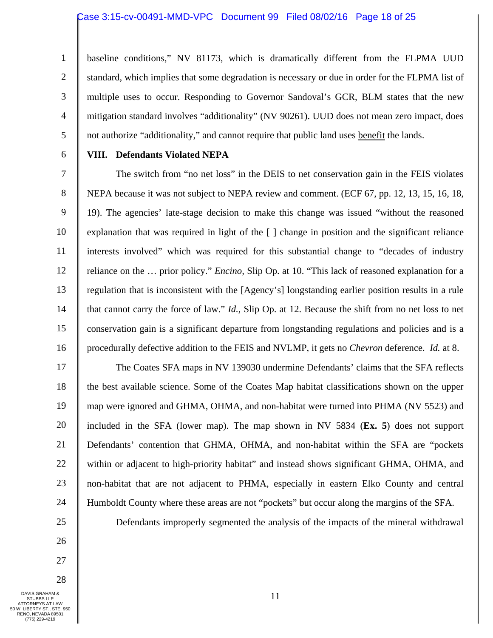#### Case 3:15-cv-00491-MMD-VPC Document 99 Filed 08/02/16 Page 18 of 25

1 2 3 4 5 baseline conditions," NV 81173, which is dramatically different from the FLPMA UUD standard, which implies that some degradation is necessary or due in order for the FLPMA list of multiple uses to occur. Responding to Governor Sandoval's GCR, BLM states that the new mitigation standard involves "additionality" (NV 90261). UUD does not mean zero impact, does not authorize "additionality," and cannot require that public land uses benefit the lands.

6

## **VIII. Defendants Violated NEPA**

7 8 9 10 11 12 13 14 15 16 The switch from "no net loss" in the DEIS to net conservation gain in the FEIS violates NEPA because it was not subject to NEPA review and comment. (ECF 67, pp. 12, 13, 15, 16, 18, 19). The agencies' late-stage decision to make this change was issued "without the reasoned explanation that was required in light of the [ ] change in position and the significant reliance interests involved" which was required for this substantial change to "decades of industry reliance on the … prior policy." *Encino,* Slip Op. at 10. "This lack of reasoned explanation for a regulation that is inconsistent with the [Agency's] longstanding earlier position results in a rule that cannot carry the force of law." *Id.,* Slip Op. at 12. Because the shift from no net loss to net conservation gain is a significant departure from longstanding regulations and policies and is a procedurally defective addition to the FEIS and NVLMP, it gets no *Chevron* deference. *Id.* at 8.

17 18 19 20 21 22 23 24 The Coates SFA maps in NV 139030 undermine Defendants' claims that the SFA reflects the best available science. Some of the Coates Map habitat classifications shown on the upper map were ignored and GHMA, OHMA, and non-habitat were turned into PHMA (NV 5523) and included in the SFA (lower map). The map shown in NV 5834 (**Ex. 5**) does not support Defendants' contention that GHMA, OHMA, and non-habitat within the SFA are "pockets within or adjacent to high-priority habitat" and instead shows significant GHMA, OHMA, and non-habitat that are not adjacent to PHMA, especially in eastern Elko County and central Humboldt County where these areas are not "pockets" but occur along the margins of the SFA.

Defendants improperly segmented the analysis of the impacts of the mineral withdrawal

26 27

28

25

DAVIS GRAHAM & STUBBS LLP ATTORNEYS AT LAW 50 W. LIBERTY ST., STE. 950 RENO, NEVADA 89501 (775) 229-4219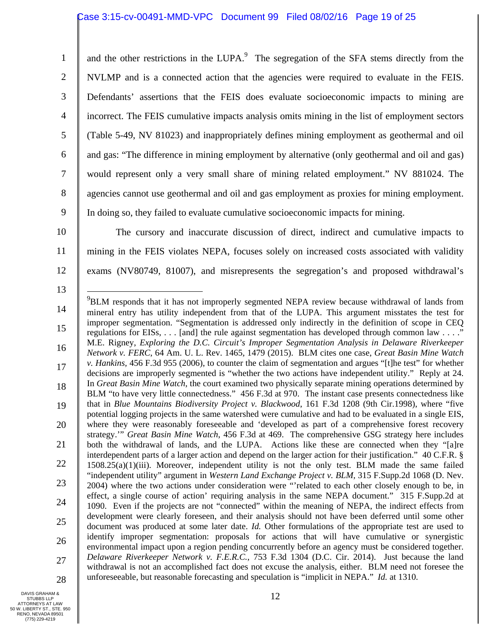# Case 3:15-cv-00491-MMD-VPC Document 99 Filed 08/02/16 Page 19 of 25

1 2 3 4 5 6 7 8 9 and the other restrictions in the LUPA. $9$  The segregation of the SFA stems directly from the NVLMP and is a connected action that the agencies were required to evaluate in the FEIS. Defendants' assertions that the FEIS does evaluate socioeconomic impacts to mining are incorrect. The FEIS cumulative impacts analysis omits mining in the list of employment sectors (Table 5-49, NV 81023) and inappropriately defines mining employment as geothermal and oil and gas: "The difference in mining employment by alternative (only geothermal and oil and gas) would represent only a very small share of mining related employment." NV 881024. The agencies cannot use geothermal and oil and gas employment as proxies for mining employment. In doing so, they failed to evaluate cumulative socioeconomic impacts for mining.

10

11

12

13

The cursory and inaccurate discussion of direct, indirect and cumulative impacts to mining in the FEIS violates NEPA, focuses solely on increased costs associated with validity exams (NV80749, 81007), and misrepresents the segregation's and proposed withdrawal's

- 14 15 16 17 18 19 20 21 22 23 24 25 26 27 28 1 <sup>9</sup>BLM responds that it has not improperly segmented NEPA review because withdrawal of lands from mineral entry has utility independent from that of the LUPA. This argument misstates the test for improper segmentation. "Segmentation is addressed only indirectly in the definition of scope in CEQ regulations for EISs, . . . [and] the rule against segmentation has developed through common law . . . ." M.E. Rigney, *Exploring the D.C. Circuit's Improper Segmentation Analysis in Delaware Riverkeeper Network v. FERC*, 64 Am. U. L. Rev. 1465, 1479 (2015). BLM cites one case, *Great Basin Mine Watch v. Hankins,* 456 F.3d 955 (2006), to counter the claim of segmentation and argues "[t]he test" for whether decisions are improperly segmented is "whether the two actions have independent utility." Reply at 24. In *Great Basin Mine Watch*, the court examined two physically separate mining operations determined by BLM "to have very little connectedness." 456 F.3d at 970. The instant case presents connectedness like that in *Blue Mountains Biodiversity Project v. Blackwood*, 161 F.3d 1208 (9th Cir.1998), where "five potential logging projects in the same watershed were cumulative and had to be evaluated in a single EIS, where they were reasonably foreseeable and 'developed as part of a comprehensive forest recovery strategy.'" *Great Basin Mine Watch*, 456 F.3d at 469. The comprehensive GSG strategy here includes both the withdrawal of lands, and the LUPA. Actions like these are connected when they "[a]re interdependent parts of a larger action and depend on the larger action for their justification." 40 C.F.R. §  $1508.25(a)(1)(iii)$ . Moreover, independent utility is not the only test. BLM made the same failed "independent utility" argument in *Western Land Exchange Project v. BLM,* 315 F.Supp.2d 1068 (D. Nev. 2004) where the two actions under consideration were "'related to each other closely enough to be, in effect, a single course of action' requiring analysis in the same NEPA document." 315 F.Supp.2d at 1090. Even if the projects are not "connected" within the meaning of NEPA, the indirect effects from development were clearly foreseen, and their analysis should not have been deferred until some other document was produced at some later date. *Id.* Other formulations of the appropriate test are used to identify improper segmentation: proposals for actions that will have cumulative or synergistic environmental impact upon a region pending concurrently before an agency must be considered together. *Delaware Riverkeeper Network v. F.E.R.C.*, 753 F.3d 1304 (D.C. Cir. 2014). Just because the land withdrawal is not an accomplished fact does not excuse the analysis, either. BLM need not foresee the unforeseeable, but reasonable forecasting and speculation is "implicit in NEPA." *Id.* at 1310.
- DAVIS GRAHAM & STUBBS LLP ATTORNEYS AT LAW 50 W. LIBERTY ST., STE. 950 RENO, NEVADA 89501 (775) 229-4219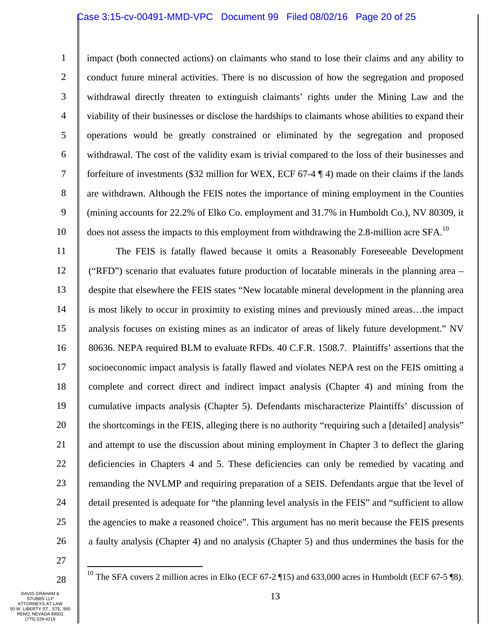#### Case 3:15-cv-00491-MMD-VPC Document 99 Filed 08/02/16 Page 20 of 25

1 2 3 4 5 6 7 8 9 impact (both connected actions) on claimants who stand to lose their claims and any ability to conduct future mineral activities. There is no discussion of how the segregation and proposed withdrawal directly threaten to extinguish claimants' rights under the Mining Law and the viability of their businesses or disclose the hardships to claimants whose abilities to expand their operations would be greatly constrained or eliminated by the segregation and proposed withdrawal. The cost of the validity exam is trivial compared to the loss of their businesses and forfeiture of investments (\$32 million for WEX, ECF 67-4 ¶ 4) made on their claims if the lands are withdrawn. Although the FEIS notes the importance of mining employment in the Counties (mining accounts for 22.2% of Elko Co. employment and 31.7% in Humboldt Co.), NV 80309, it

does not assess the impacts to this employment from withdrawing the 2.8-million acre SFA.<sup>10</sup>

11 12 13 14 15 16 17 18 19 20 21 22 23 24 25 26 The FEIS is fatally flawed because it omits a Reasonably Foreseeable Development ("RFD") scenario that evaluates future production of locatable minerals in the planning area – despite that elsewhere the FEIS states "New locatable mineral development in the planning area is most likely to occur in proximity to existing mines and previously mined areas…the impact analysis focuses on existing mines as an indicator of areas of likely future development." NV 80636. NEPA required BLM to evaluate RFDs. 40 C.F.R. 1508.7. Plaintiffs' assertions that the socioeconomic impact analysis is fatally flawed and violates NEPA rest on the FEIS omitting a complete and correct direct and indirect impact analysis (Chapter 4) and mining from the cumulative impacts analysis (Chapter 5). Defendants mischaracterize Plaintiffs' discussion of the shortcomings in the FEIS, alleging there is no authority "requiring such a [detailed] analysis" and attempt to use the discussion about mining employment in Chapter 3 to deflect the glaring deficiencies in Chapters 4 and 5. These deficiencies can only be remedied by vacating and remanding the NVLMP and requiring preparation of a SEIS. Defendants argue that the level of detail presented is adequate for "the planning level analysis in the FEIS" and "sufficient to allow the agencies to make a reasoned choice". This argument has no merit because the FEIS presents a faulty analysis (Chapter 4) and no analysis (Chapter 5) and thus undermines the basis for the

10

27

 $\overline{a}$ 

28

<sup>10</sup> The SFA covers 2 million acres in Elko (ECF 67-2 ¶15) and 633,000 acres in Humboldt (ECF 67-5 ¶8).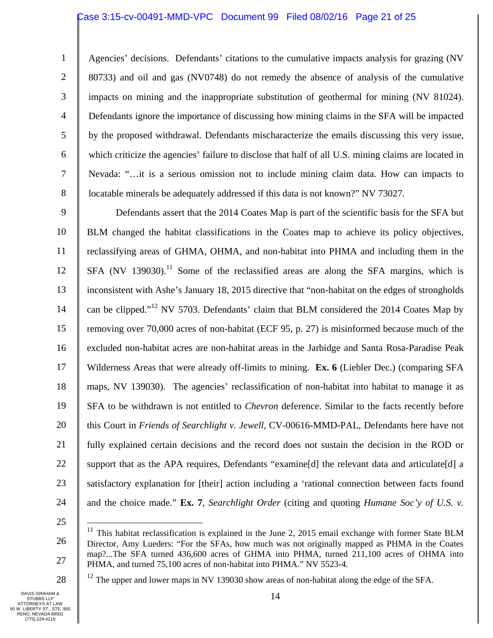## Case 3:15-cv-00491-MMD-VPC Document 99 Filed 08/02/16 Page 21 of 25

1 2 3 4 5 6 7 8 Agencies' decisions. Defendants' citations to the cumulative impacts analysis for grazing (NV 80733) and oil and gas (NV0748) do not remedy the absence of analysis of the cumulative impacts on mining and the inappropriate substitution of geothermal for mining (NV 81024). Defendants ignore the importance of discussing how mining claims in the SFA will be impacted by the proposed withdrawal. Defendants mischaracterize the emails discussing this very issue, which criticize the agencies' failure to disclose that half of all U.S. mining claims are located in Nevada: "…it is a serious omission not to include mining claim data. How can impacts to locatable minerals be adequately addressed if this data is not known?" NV 73027.

9 10 11 12 13 14 15 16 17 18 19 20 21 22 23 24 Defendants assert that the 2014 Coates Map is part of the scientific basis for the SFA but BLM changed the habitat classifications in the Coates map to achieve its policy objectives, reclassifying areas of GHMA, OHMA, and non-habitat into PHMA and including them in the  $SFA$  (NV 139030).<sup>11</sup> Some of the reclassified areas are along the SFA margins, which is inconsistent with Ashe's January 18, 2015 directive that "non-habitat on the edges of strongholds can be clipped."12 NV 5703. Defendants' claim that BLM considered the 2014 Coates Map by removing over 70,000 acres of non-habitat (ECF 95, p. 27) is misinformed because much of the excluded non-habitat acres are non-habitat areas in the Jarbidge and Santa Rosa-Paradise Peak Wilderness Areas that were already off-limits to mining. **Ex. 6** (Liebler Dec.) (comparing SFA maps, NV 139030). The agencies' reclassification of non-habitat into habitat to manage it as SFA to be withdrawn is not entitled to *Chevron* deference. Similar to the facts recently before this Court in *Friends of Searchlight v. Jewell*, CV-00616-MMD-PAL, Defendants here have not fully explained certain decisions and the record does not sustain the decision in the ROD or support that as the APA requires, Defendants "examine[d] the relevant data and articulate[d] a satisfactory explanation for [their] action including a 'rational connection between facts found and the choice made." **Ex. 7**, *Searchlight Order* (citing and quoting *Humane Soc'y of U.S. v.* 

25

 $\overline{a}$ 

26

 $12$  The upper and lower maps in NV 139030 show areas of non-habitat along the edge of the SFA.

 $11$  This habitat reclassification is explained in the June 2, 2015 email exchange with former State BLM Director, Amy Lueders: "For the SFAs, how much was not originally mapped as PHMA in the Coates map?...The SFA turned 436,600 acres of GHMA into PHMA, turned 211,100 acres of OHMA into PHMA, and turned 75,100 acres of non-habitat into PHMA." NV 5523-4.

<sup>28</sup>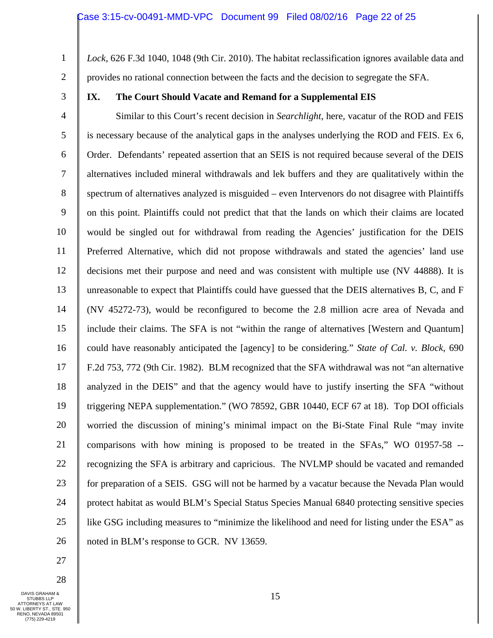- 1 2 *Lock*, 626 F.3d 1040, 1048 (9th Cir. 2010). The habitat reclassification ignores available data and provides no rational connection between the facts and the decision to segregate the SFA.
- 3

## **IX. The Court Should Vacate and Remand for a Supplemental EIS**

4 5 6 7 8 9 10 11 12 13 14 15 16 17 18 19 20 21 22 23 24 25 26 Similar to this Court's recent decision in *Searchlight*, here, vacatur of the ROD and FEIS is necessary because of the analytical gaps in the analyses underlying the ROD and FEIS. Ex 6, Order. Defendants' repeated assertion that an SEIS is not required because several of the DEIS alternatives included mineral withdrawals and lek buffers and they are qualitatively within the spectrum of alternatives analyzed is misguided – even Intervenors do not disagree with Plaintiffs on this point. Plaintiffs could not predict that that the lands on which their claims are located would be singled out for withdrawal from reading the Agencies' justification for the DEIS Preferred Alternative, which did not propose withdrawals and stated the agencies' land use decisions met their purpose and need and was consistent with multiple use (NV 44888). It is unreasonable to expect that Plaintiffs could have guessed that the DEIS alternatives B, C, and F (NV 45272-73), would be reconfigured to become the 2.8 million acre area of Nevada and include their claims. The SFA is not "within the range of alternatives [Western and Quantum] could have reasonably anticipated the [agency] to be considering." *State of Cal. v. Block*, 690 F.2d 753, 772 (9th Cir. 1982). BLM recognized that the SFA withdrawal was not "an alternative analyzed in the DEIS" and that the agency would have to justify inserting the SFA "without triggering NEPA supplementation." (WO 78592, GBR 10440, ECF 67 at 18). Top DOI officials worried the discussion of mining's minimal impact on the Bi-State Final Rule "may invite comparisons with how mining is proposed to be treated in the SFAs," WO 01957-58 - recognizing the SFA is arbitrary and capricious. The NVLMP should be vacated and remanded for preparation of a SEIS. GSG will not be harmed by a vacatur because the Nevada Plan would protect habitat as would BLM's Special Status Species Manual 6840 protecting sensitive species like GSG including measures to "minimize the likelihood and need for listing under the ESA" as noted in BLM's response to GCR. NV 13659.

- 27
- 28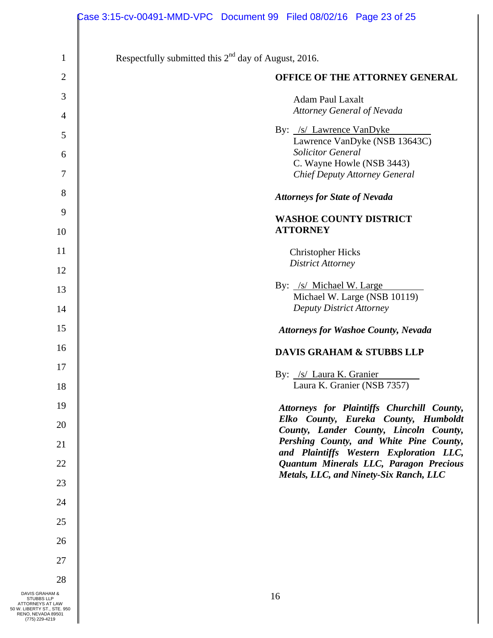|                                                                                                                         | Case 3:15-cv-00491-MMD-VPC Document 99 Filed 08/02/16 Page 23 of 25               |
|-------------------------------------------------------------------------------------------------------------------------|-----------------------------------------------------------------------------------|
| $\mathbf{1}$                                                                                                            | Respectfully submitted this $2nd$ day of August, 2016.                            |
|                                                                                                                         |                                                                                   |
| $\mathbf{2}$                                                                                                            | OFFICE OF THE ATTORNEY GENERAL                                                    |
| 3                                                                                                                       | <b>Adam Paul Laxalt</b>                                                           |
| $\overline{4}$                                                                                                          | <b>Attorney General of Nevada</b>                                                 |
| 5                                                                                                                       | By: /s/ Lawrence VanDyke                                                          |
| 6                                                                                                                       | Lawrence VanDyke (NSB 13643C)<br><b>Solicitor General</b>                         |
|                                                                                                                         | C. Wayne Howle (NSB 3443)                                                         |
| 7                                                                                                                       | <b>Chief Deputy Attorney General</b>                                              |
| 8                                                                                                                       | <b>Attorneys for State of Nevada</b>                                              |
| 9                                                                                                                       | <b>WASHOE COUNTY DISTRICT</b>                                                     |
| 10                                                                                                                      | <b>ATTORNEY</b>                                                                   |
| 11                                                                                                                      | <b>Christopher Hicks</b>                                                          |
| 12                                                                                                                      | <b>District Attorney</b>                                                          |
|                                                                                                                         | By: /s/ Michael W. Large                                                          |
| 13                                                                                                                      | Michael W. Large (NSB 10119)                                                      |
| 14                                                                                                                      | <b>Deputy District Attorney</b>                                                   |
| 15                                                                                                                      | <b>Attorneys for Washoe County, Nevada</b>                                        |
| 16                                                                                                                      | <b>DAVIS GRAHAM &amp; STUBBS LLP</b>                                              |
| 17                                                                                                                      | By: /s/ Laura K. Granier                                                          |
| 18                                                                                                                      | Laura K. Granier (NSB 7357)                                                       |
| 19                                                                                                                      | Attorneys for Plaintiffs Churchill County,                                        |
| 20                                                                                                                      | Elko County, Eureka County, Humboldt                                              |
| 21                                                                                                                      | County, Lander County, Lincoln County,<br>Pershing County, and White Pine County, |
|                                                                                                                         | and Plaintiffs Western Exploration LLC,                                           |
| 22                                                                                                                      | Quantum Minerals LLC, Paragon Precious<br>Metals, LLC, and Ninety-Six Ranch, LLC  |
| 23                                                                                                                      |                                                                                   |
| 24                                                                                                                      |                                                                                   |
| 25                                                                                                                      |                                                                                   |
| 26                                                                                                                      |                                                                                   |
| 27                                                                                                                      |                                                                                   |
| 28                                                                                                                      |                                                                                   |
| DAVIS GRAHAM &<br>STUBBS LLP<br>ATTORNEYS AT LAW<br>50 W. LIBERTY ST., STE. 950<br>RENO, NEVADA 89501<br>(775) 229-4219 | 16                                                                                |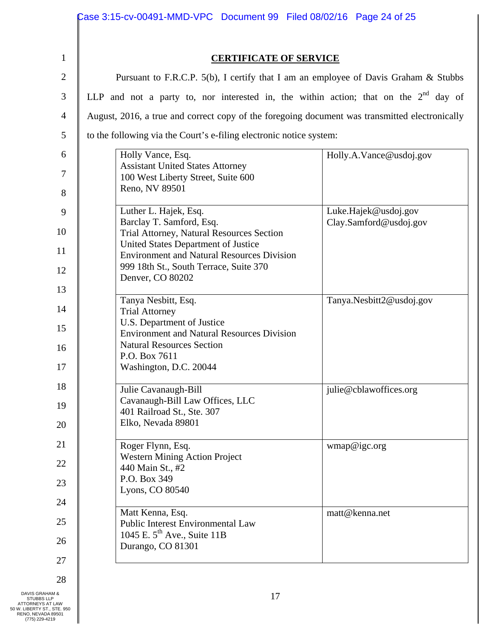|                | Case 3:15-cv-00491-MMD-VPC Document 99    Filed 08/02/16    Page 24 of 25                      |                          |  |  |
|----------------|------------------------------------------------------------------------------------------------|--------------------------|--|--|
|                |                                                                                                |                          |  |  |
| $\mathbf{1}$   | <b>CERTIFICATE OF SERVICE</b>                                                                  |                          |  |  |
| $\mathbf{2}$   | Pursuant to F.R.C.P. 5(b), I certify that I am an employee of Davis Graham & Stubbs            |                          |  |  |
| $\mathfrak{Z}$ | LLP and not a party to, nor interested in, the within action; that on the $2nd$ day of         |                          |  |  |
| $\overline{4}$ | August, 2016, a true and correct copy of the foregoing document was transmitted electronically |                          |  |  |
| 5              | to the following via the Court's e-filing electronic notice system:                            |                          |  |  |
| 6              | Holly Vance, Esq.                                                                              | Holly.A.Vance@usdoj.gov  |  |  |
| 7              | <b>Assistant United States Attorney</b><br>100 West Liberty Street, Suite 600                  |                          |  |  |
| 8              | Reno, NV 89501                                                                                 |                          |  |  |
| 9              | Luther L. Hajek, Esq.                                                                          | Luke.Hajek@usdoj.gov     |  |  |
| 10             | Barclay T. Samford, Esq.<br>Trial Attorney, Natural Resources Section                          | Clay.Samford@usdoj.gov   |  |  |
| 11             | United States Department of Justice<br><b>Environment and Natural Resources Division</b>       |                          |  |  |
| 12             | 999 18th St., South Terrace, Suite 370<br>Denver, CO 80202                                     |                          |  |  |
| 13             |                                                                                                |                          |  |  |
| 14             | Tanya Nesbitt, Esq.<br><b>Trial Attorney</b>                                                   | Tanya.Nesbitt2@usdoj.gov |  |  |
| 15             | U.S. Department of Justice<br><b>Environment and Natural Resources Division</b>                |                          |  |  |
| 16             | <b>Natural Resources Section</b>                                                               |                          |  |  |
| 17             | P.O. Box 7611<br>Washington, D.C. 20044                                                        |                          |  |  |
| 18             | Julie Cavanaugh-Bill                                                                           | julie@cblawoffices.org   |  |  |
| 19             | Cavanaugh-Bill Law Offices, LLC<br>401 Railroad St., Ste. 307                                  |                          |  |  |
| 20             | Elko, Nevada 89801                                                                             |                          |  |  |
| 21             | Roger Flynn, Esq.                                                                              | wmap@igc.org             |  |  |
| 22             | <b>Western Mining Action Project</b><br>440 Main St., #2                                       |                          |  |  |
| 23             | P.O. Box 349                                                                                   |                          |  |  |
| 24             | Lyons, CO 80540                                                                                |                          |  |  |
| 25             | Matt Kenna, Esq.<br><b>Public Interest Environmental Law</b>                                   | matt@kenna.net           |  |  |
| 26             | 1045 E. $5^{\text{th}}$ Ave., Suite 11B<br>Durango, CO 81301                                   |                          |  |  |
| 27             |                                                                                                |                          |  |  |
| 28             |                                                                                                |                          |  |  |

DAVIS GRAHAM &<br>
STUBBS LLP<br>
ATTORNEYS AT LAW<br>
50 W. LIBERTY ST., STE. 950<br>
RENO, NEVADA 89501<br>
(775) 229-4219